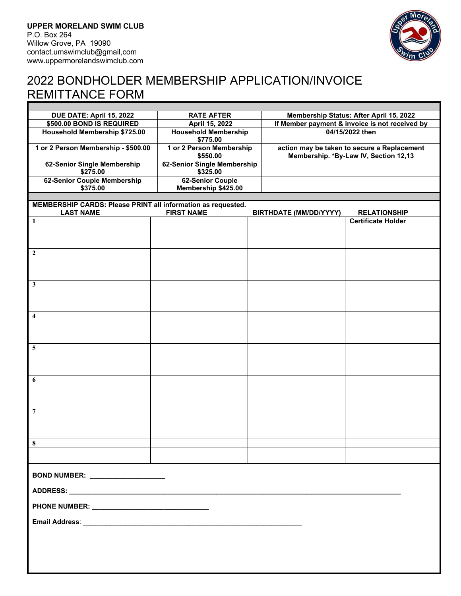

# 2022 BONDHOLDER MEMBERSHIP APPLICATION/INVOICE REMITTANCE FORM

| DUE DATE: April 15, 2022                                                                                                                                      | <b>RATE AFTER</b>                       |  | Membership Status: After April 15, 2022                                              |                           |
|---------------------------------------------------------------------------------------------------------------------------------------------------------------|-----------------------------------------|--|--------------------------------------------------------------------------------------|---------------------------|
| \$500.00 BOND IS REQUIRED                                                                                                                                     | April 15, 2022                          |  | If Member payment & invoice is not received by                                       |                           |
| <b>Household Membership \$725.00</b>                                                                                                                          | <b>Household Membership</b><br>\$775.00 |  | 04/15/2022 then                                                                      |                           |
| 1 or 2 Person Membership - \$500.00                                                                                                                           | 1 or 2 Person Membership<br>\$550.00    |  | action may be taken to secure a Replacement<br>Membership. *By-Law IV, Section 12,13 |                           |
| 62-Senior Single Membership<br>\$275.00                                                                                                                       | 62-Senior Single Membership<br>\$325.00 |  |                                                                                      |                           |
| 62-Senior Couple Membership<br>\$375.00                                                                                                                       | 62-Senior Couple<br>Membership \$425.00 |  |                                                                                      |                           |
|                                                                                                                                                               |                                         |  |                                                                                      |                           |
| MEMBERSHIP CARDS: Please PRINT all information as requested.<br><b>FIRST NAME</b><br><b>LAST NAME</b><br><b>BIRTHDATE (MM/DD/YYYY)</b><br><b>RELATIONSHIP</b> |                                         |  |                                                                                      |                           |
| 1                                                                                                                                                             |                                         |  |                                                                                      | <b>Certificate Holder</b> |
|                                                                                                                                                               |                                         |  |                                                                                      |                           |
| $\boldsymbol{2}$                                                                                                                                              |                                         |  |                                                                                      |                           |
| $\mathbf{3}$                                                                                                                                                  |                                         |  |                                                                                      |                           |
| $\overline{\mathbf{4}}$                                                                                                                                       |                                         |  |                                                                                      |                           |
| 5                                                                                                                                                             |                                         |  |                                                                                      |                           |
| 6                                                                                                                                                             |                                         |  |                                                                                      |                           |
| $\overline{7}$                                                                                                                                                |                                         |  |                                                                                      |                           |
| 8                                                                                                                                                             |                                         |  |                                                                                      |                           |
|                                                                                                                                                               |                                         |  |                                                                                      |                           |
| BOND NUMBER: __________________                                                                                                                               |                                         |  |                                                                                      |                           |
|                                                                                                                                                               |                                         |  |                                                                                      |                           |
|                                                                                                                                                               |                                         |  |                                                                                      |                           |
|                                                                                                                                                               |                                         |  |                                                                                      |                           |
|                                                                                                                                                               |                                         |  |                                                                                      |                           |
|                                                                                                                                                               |                                         |  |                                                                                      |                           |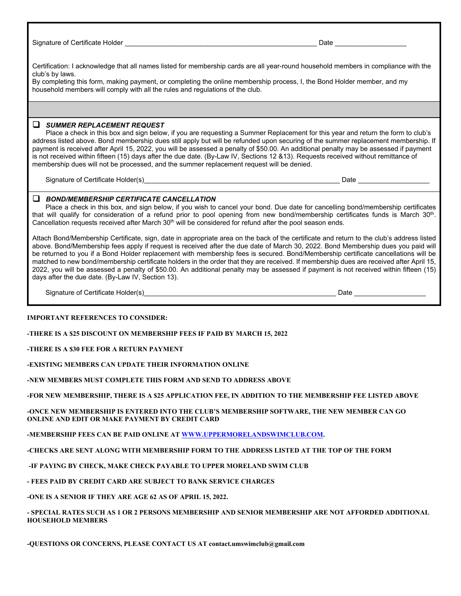Signature of Certificate Holder \_\_\_\_\_\_\_\_\_\_\_\_\_\_\_\_\_\_\_\_\_\_\_\_\_\_\_\_\_\_\_\_\_\_\_\_\_\_\_\_\_\_\_\_\_\_\_\_\_\_\_ Date \_\_\_\_\_\_\_\_\_\_\_\_\_\_\_\_\_\_\_

Certification: I acknowledge that all names listed for membership cards are all year-round household members in compliance with the club's by laws.

By completing this form, making payment, or completing the online membership process, I, the Bond Holder member, and my household members will comply with all the rules and regulations of the club.

### ❑ *SUMMER REPLACEMENT REQUEST*

Place a check in this box and sign below, if you are requesting a Summer Replacement for this year and return the form to club's address listed above. Bond membership dues still apply but will be refunded upon securing of the summer replacement membership. If payment is received after April 15, 2022, you will be assessed a penalty of \$50.00. An additional penalty may be assessed if payment is not received within fifteen (15) days after the due date. (By-Law IV, Sections 12 &13). Requests received without remittance of membership dues will not be processed, and the summer replacement request will be denied.

Signature of Certificate Holder(s) example of Certificate Holder(s)

### ❑ *BOND/MEMBERSHIP CERTIFICATE CANCELLATION*

Place a check in this box, and sign below, if you wish to cancel your bond. Due date for cancelling bond/membership certificates that will qualify for consideration of a refund prior to pool opening from new bond/membership certificates funds is March 30<sup>th</sup>. Cancellation requests received after March  $30<sup>th</sup>$  will be considered for refund after the pool season ends.

Attach Bond/Membership Certificate, sign, date in appropriate area on the back of the certificate and return to the club's address listed above. Bond/Membership fees apply if request is received after the due date of March 30, 2022. Bond Membership dues you paid will be returned to you if a Bond Holder replacement with membership fees is secured. Bond/Membership certificate cancellations will be matched to new bond/membership certificate holders in the order that they are received. If membership dues are received after April 15, 2022, you will be assessed a penalty of \$50.00. An additional penalty may be assessed if payment is not received within fifteen (15) days after the due date. (By-Law IV, Section 13).

Signature of Certificate Holder(s) example of the state of the state and the state and the state and the state of the state and the state and the state and the state and the state and the state and the state and the state

#### **IMPORTANT REFERENCES TO CONSIDER:**

**-THERE IS A \$25 DISCOUNT ON MEMBERSHIP FEES IF PAID BY MARCH 15, 2022** 

**-THERE IS A \$30 FEE FOR A RETURN PAYMENT** 

**-EXISTING MEMBERS CAN UPDATE THEIR INFORMATION ONLINE** 

**-NEW MEMBERS MUST COMPLETE THIS FORM AND SEND TO ADDRESS ABOVE** 

**-FOR NEW MEMBERSHIP, THERE IS A \$25 APPLICATION FEE, IN ADDITION TO THE MEMBERSHIP FEE LISTED ABOVE** 

**-ONCE NEW MEMBERSHIP IS ENTERED INTO THE CLUB'S MEMBERSHIP SOFTWARE, THE NEW MEMBER CAN GO ONLINE AND EDIT OR MAKE PAYMENT BY CREDIT CARD** 

**-MEMBERSHIP FEES CAN BE PAID ONLINE AT WWW.UPPERMORELANDSWIMCLUB.COM.** 

**-CHECKS ARE SENT ALONG WITH MEMBERSHIP FORM TO THE ADDRESS LISTED AT THE TOP OF THE FORM** 

 **-IF PAYING BY CHECK, MAKE CHECK PAYABLE TO UPPER MORELAND SWIM CLUB** 

**- FEES PAID BY CREDIT CARD ARE SUBJECT TO BANK SERVICE CHARGES** 

**-ONE IS A SENIOR IF THEY ARE AGE 62 AS OF APRIL 15, 2022.** 

**- SPECIAL RATES SUCH AS 1 OR 2 PERSONS MEMBERSHIP AND SENIOR MEMBERSHIP ARE NOT AFFORDED ADDITIONAL HOUSEHOLD MEMBERS** 

**-QUESTIONS OR CONCERNS, PLEASE CONTACT US AT contact.umswimclub@gmail.com**